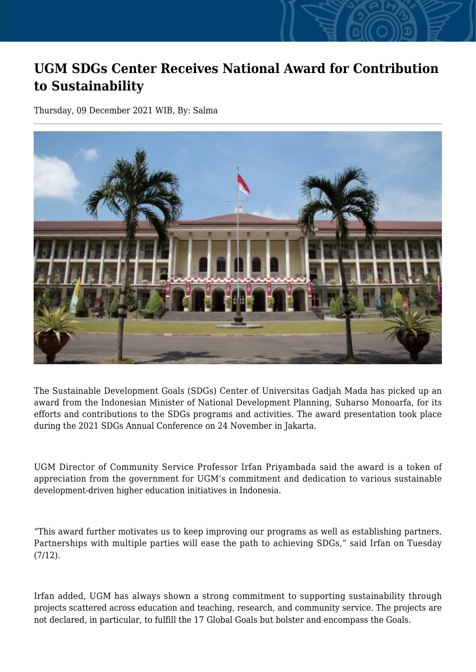## **UGM SDGs Center Receives National Award for Contribution to Sustainability**

Thursday, 09 December 2021 WIB, By: Salma



The Sustainable Development Goals (SDGs) Center of Universitas Gadjah Mada has picked up an award from the Indonesian Minister of National Development Planning, Suharso Monoarfa, for its efforts and contributions to the SDGs programs and activities. The award presentation took place during the 2021 SDGs Annual Conference on 24 November in Jakarta.

UGM Director of Community Service Professor Irfan Priyambada said the award is a token of appreciation from the government for UGM's commitment and dedication to various sustainable development-driven higher education initiatives in Indonesia.

"This award further motivates us to keep improving our programs as well as establishing partners. Partnerships with multiple parties will ease the path to achieving SDGs," said Irfan on Tuesday (7/12).

Irfan added, UGM has always shown a strong commitment to supporting sustainability through projects scattered across education and teaching, research, and community service. The projects are not declared, in particular, to fulfill the 17 Global Goals but bolster and encompass the Goals.